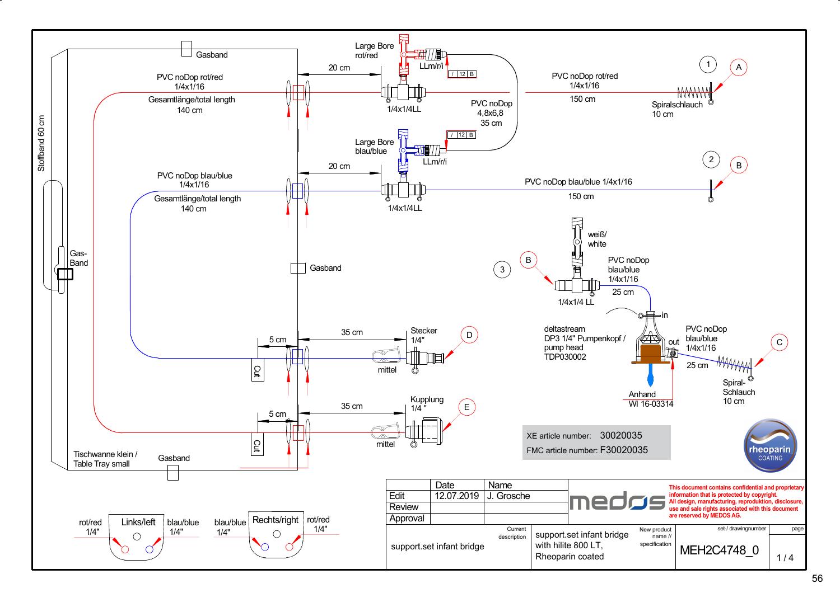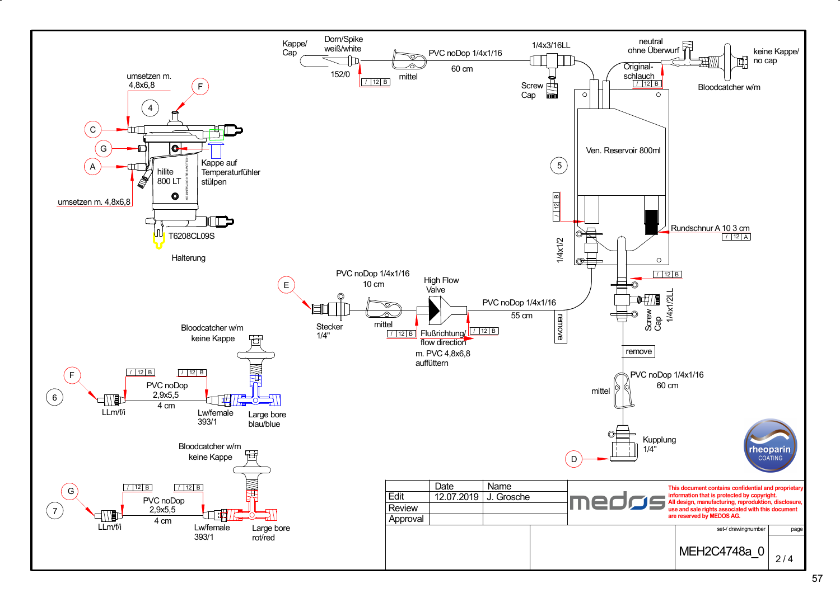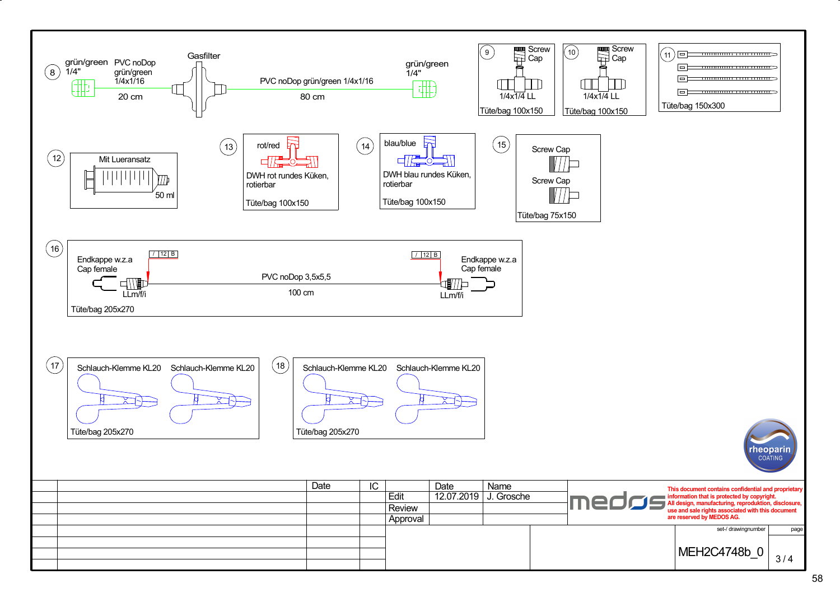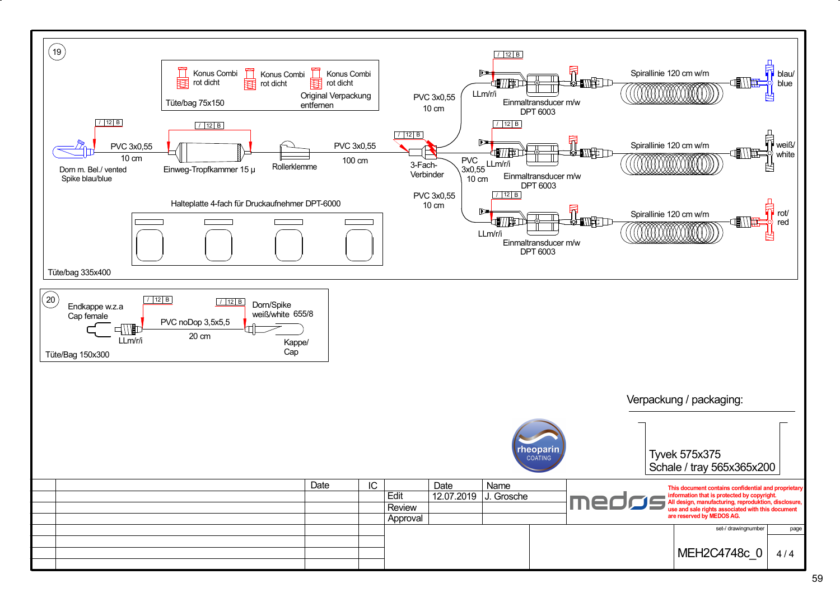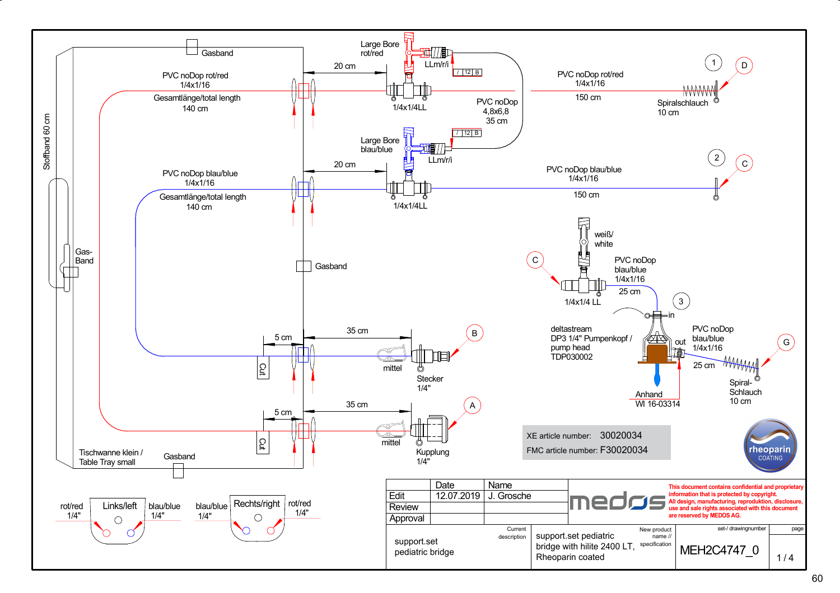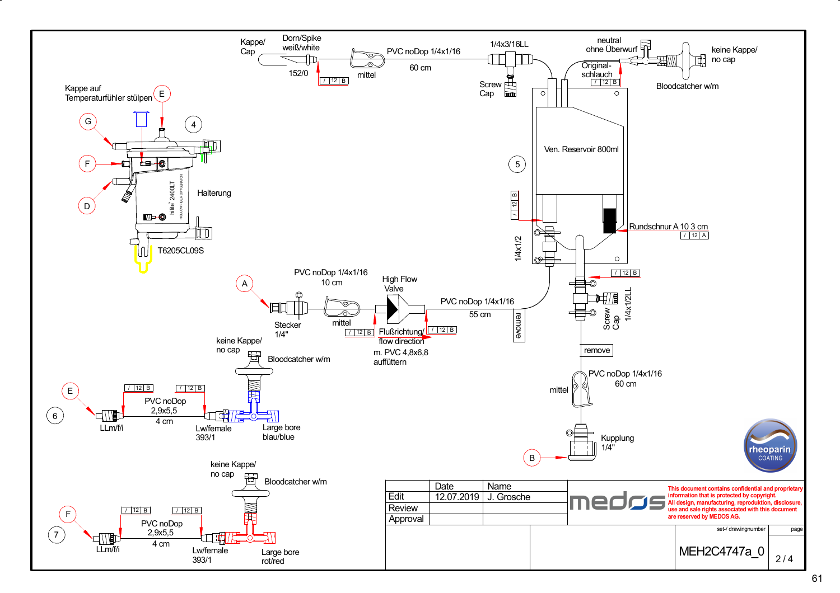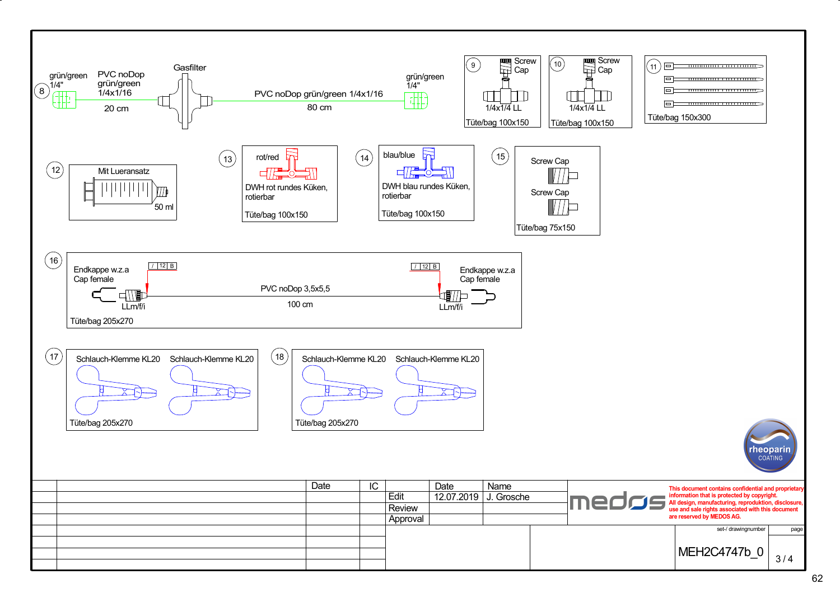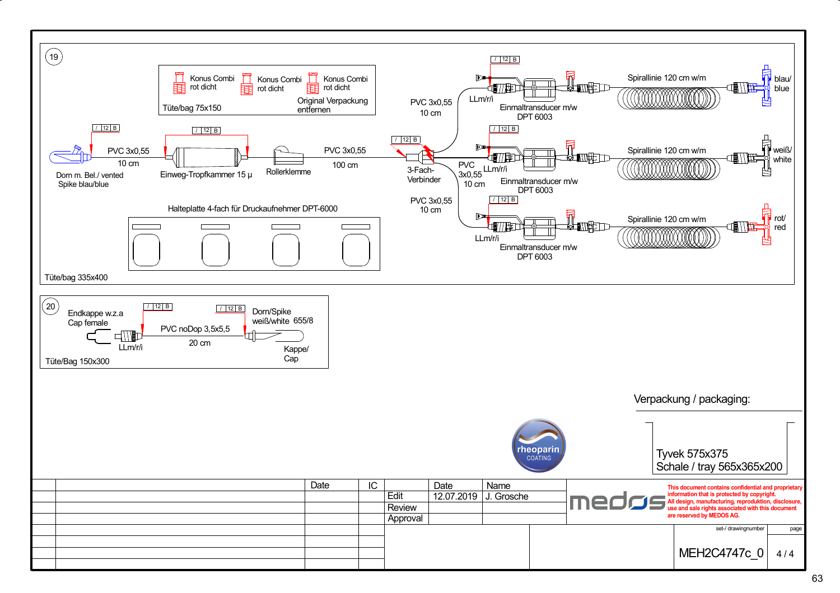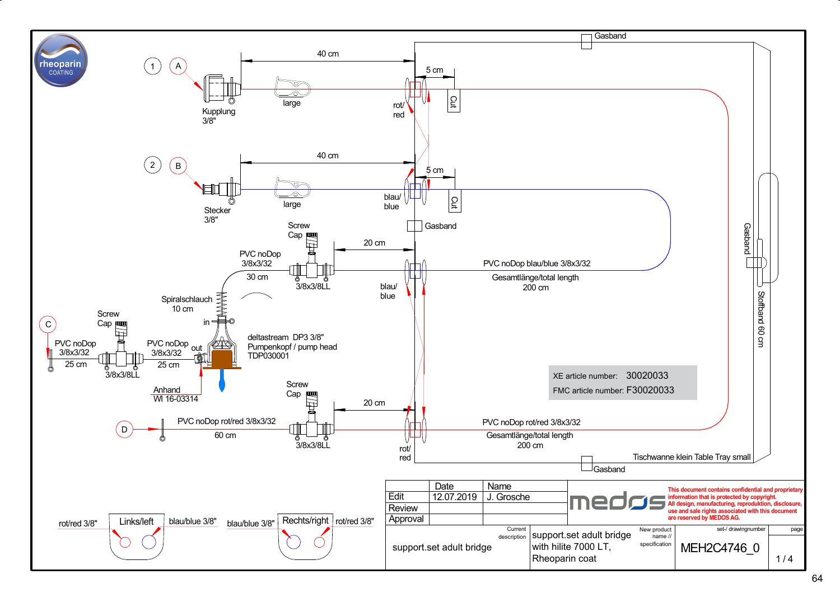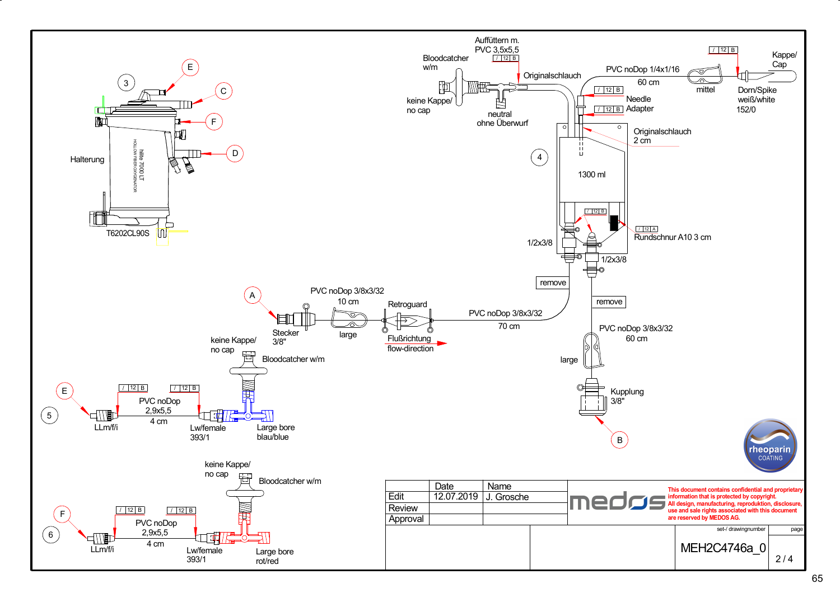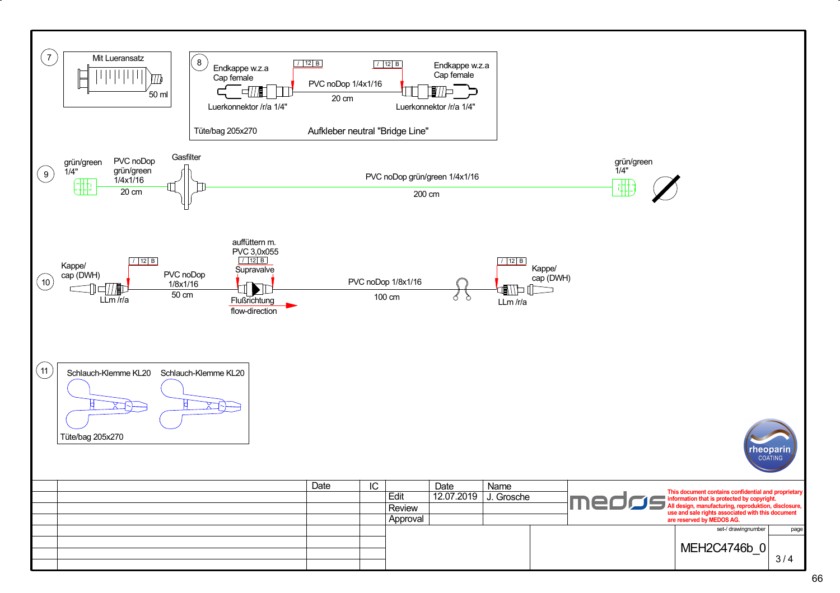